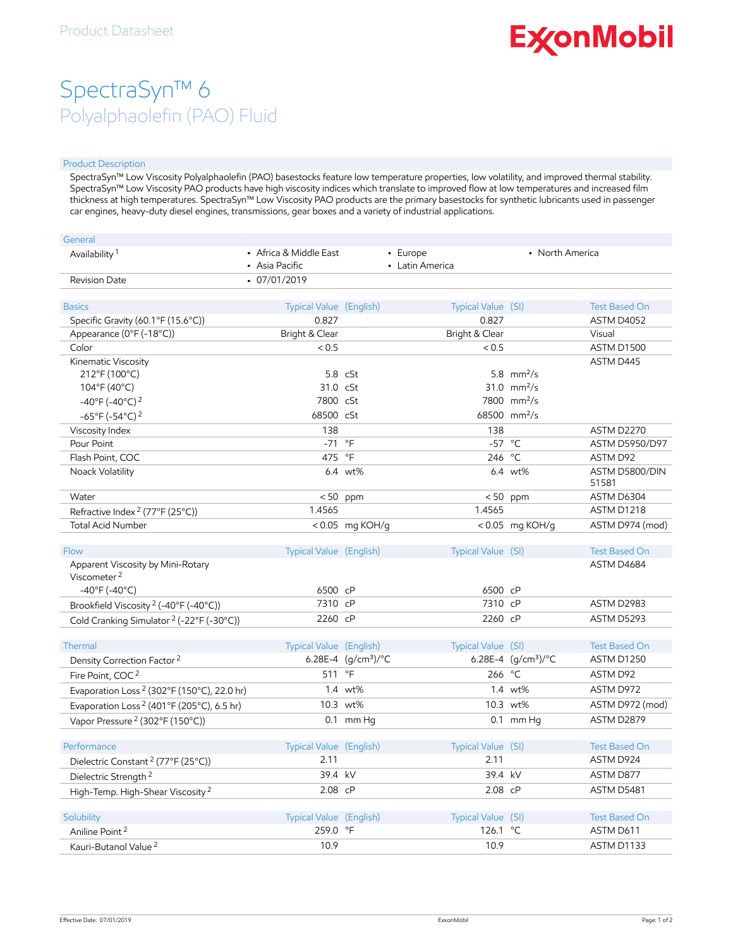# **ExconMobil**

## SpectraSyn™ 6 Polyalphaolefin (PAO) Fluid

### Product Description

SpectraSyn™ Low Viscosity Polyalphaolefin (PAO) basestocks feature low temperature properties, low volatility, and improved thermal stability. SpectraSyn™ Low Viscosity PAO products have high viscosity indices which translate to improved flow at low temperatures and increased film thickness at high temperatures. SpectraSyn™ Low Viscosity PAO products are the primary basestocks for synthetic lubricants used in passenger car engines, heavy-duty diesel engines, transmissions, gear boxes and a variety of industrial applications.

| General                                                |                                          |                       |                             |                                          |                         |
|--------------------------------------------------------|------------------------------------------|-----------------------|-----------------------------|------------------------------------------|-------------------------|
| Availability <sup>1</sup>                              | • Africa & Middle East<br>• Asia Pacific |                       | - Europe<br>• Latin America | • North America                          |                         |
| Revision Date                                          | $-07/01/2019$                            |                       |                             |                                          |                         |
|                                                        |                                          |                       |                             |                                          |                         |
| <b>Basics</b>                                          | Typical Value (English)                  |                       | Typical Value (SI)          |                                          | <b>Test Based On</b>    |
| Specific Gravity (60.1°F (15.6°C))                     | 0.827                                    |                       | 0.827                       |                                          | ASTM D4052              |
| Appearance (0°F (-18°C))                               | Bright & Clear                           |                       | Bright & Clear              |                                          | Visual                  |
| Color                                                  | < 0.5                                    |                       | < 0.5                       |                                          | ASTM D1500              |
| Kinematic Viscosity                                    |                                          |                       |                             |                                          | ASTM D445               |
| 212°F (100°C)                                          |                                          | $5.8$ cSt             |                             | 5.8 $mm^2/s$                             |                         |
| 104°F (40°C)                                           | 31.0 cSt<br>7800 cSt                     |                       |                             | 31.0 $mm^2/s$<br>7800 mm <sup>2</sup> /s |                         |
| $-40^{\circ}$ F (-40°C) <sup>2</sup>                   |                                          |                       |                             |                                          |                         |
| $-65^{\circ}$ F (-54°C) <sup>2</sup>                   | 68500 cSt                                |                       |                             | 68500 mm <sup>2</sup> /s                 |                         |
| Viscosity Index                                        | 138                                      |                       | 138                         |                                          | ASTM D2270              |
| Pour Point                                             | $-71$ °F                                 |                       |                             | $-57$ °C                                 | ASTM D5950/D97          |
| Flash Point, COC                                       | 475                                      | $\circ$ F             |                             | 246 °C                                   | ASTM D92                |
| Noack Volatility                                       |                                          | 6.4 wt%               |                             | 6.4 wt%                                  | ASTM D5800/DIN<br>51581 |
| Water                                                  |                                          | $< 50$ ppm            | < 50                        | ppm                                      | ASTM D6304              |
| Refractive Index <sup>2</sup> (77°F (25°C))            | 1.4565                                   |                       | 1.4565                      |                                          | ASTM D1218              |
| <b>Total Acid Number</b>                               |                                          | < $0.05$ mg KOH/g     |                             | < $0.05$ mg KOH/g                        | ASTM D974 (mod)         |
| Flow                                                   | Typical Value (English)                  |                       | Typical Value (SI)          |                                          | <b>Test Based On</b>    |
| Apparent Viscosity by Mini-Rotary                      |                                          |                       |                             |                                          | ASTM D4684              |
| Viscometer <sup>2</sup>                                |                                          |                       |                             |                                          |                         |
| $-40^{\circ}$ F (-40°C)                                | 6500 cP                                  |                       | 6500 cP                     |                                          |                         |
| Brookfield Viscosity <sup>2</sup> (-40°F (-40°C))      | 7310 cP                                  |                       | 7310 cP                     |                                          | ASTM D2983              |
| Cold Cranking Simulator <sup>2</sup> (-22°F (-30°C))   | 2260 cP                                  |                       | 2260 cP                     |                                          | ASTM D5293              |
|                                                        |                                          |                       |                             |                                          |                         |
| Thermal                                                | Typical Value (English)                  |                       | Typical Value (SI)          |                                          | <b>Test Based On</b>    |
| Density Correction Factor <sup>2</sup>                 |                                          | 6.28E-4 $(g/cm3)$ /°C |                             | 6.28E-4 $(g/cm3)$ /°C                    | <b>ASTM D1250</b>       |
| Fire Point, COC <sup>2</sup>                           | 511 °F                                   |                       |                             | 266 °C                                   | ASTM D92                |
| Evaporation Loss <sup>2</sup> (302°F (150°C), 22.0 hr) |                                          | 1.4 wt%               |                             | 1.4 wt%                                  | ASTM D972               |
| Evaporation Loss <sup>2</sup> (401°F (205°C), 6.5 hr)  |                                          | 10.3 wt%              |                             | 10.3 wt%                                 | ASTM D972 (mod)         |
| Vapor Pressure <sup>2</sup> (302°F (150°C))            |                                          | $0.1$ mm Hq           |                             | $0.1$ mm Hq                              | ASTM D2879              |
|                                                        |                                          |                       |                             |                                          |                         |
| Performance                                            | Typical Value (English)                  |                       | Typical Value (SI)          |                                          | <b>Test Based On</b>    |
| Dielectric Constant <sup>2</sup> (77°F (25°C))         | 2.11                                     |                       | 2.11                        |                                          | ASTM D924               |
| Dielectric Strength <sup>2</sup>                       | 39.4 kV                                  |                       |                             | 39.4 kV                                  | ASTM D877               |
| High-Temp. High-Shear Viscosity <sup>2</sup>           | 2.08 cP                                  |                       |                             | 2.08 cP                                  | ASTM D5481              |
| Solubility                                             | Typical Value (English)                  |                       | Typical Value (SI)          |                                          | <b>Test Based On</b>    |
| Aniline Point <sup>2</sup>                             | 259.0 °F                                 |                       | 126.1                       | °C                                       | ASTM D611               |
|                                                        | 10.9                                     |                       |                             |                                          | ASTM D1133              |
| Kauri-Butanol Value <sup>2</sup>                       |                                          |                       | 10.9                        |                                          |                         |